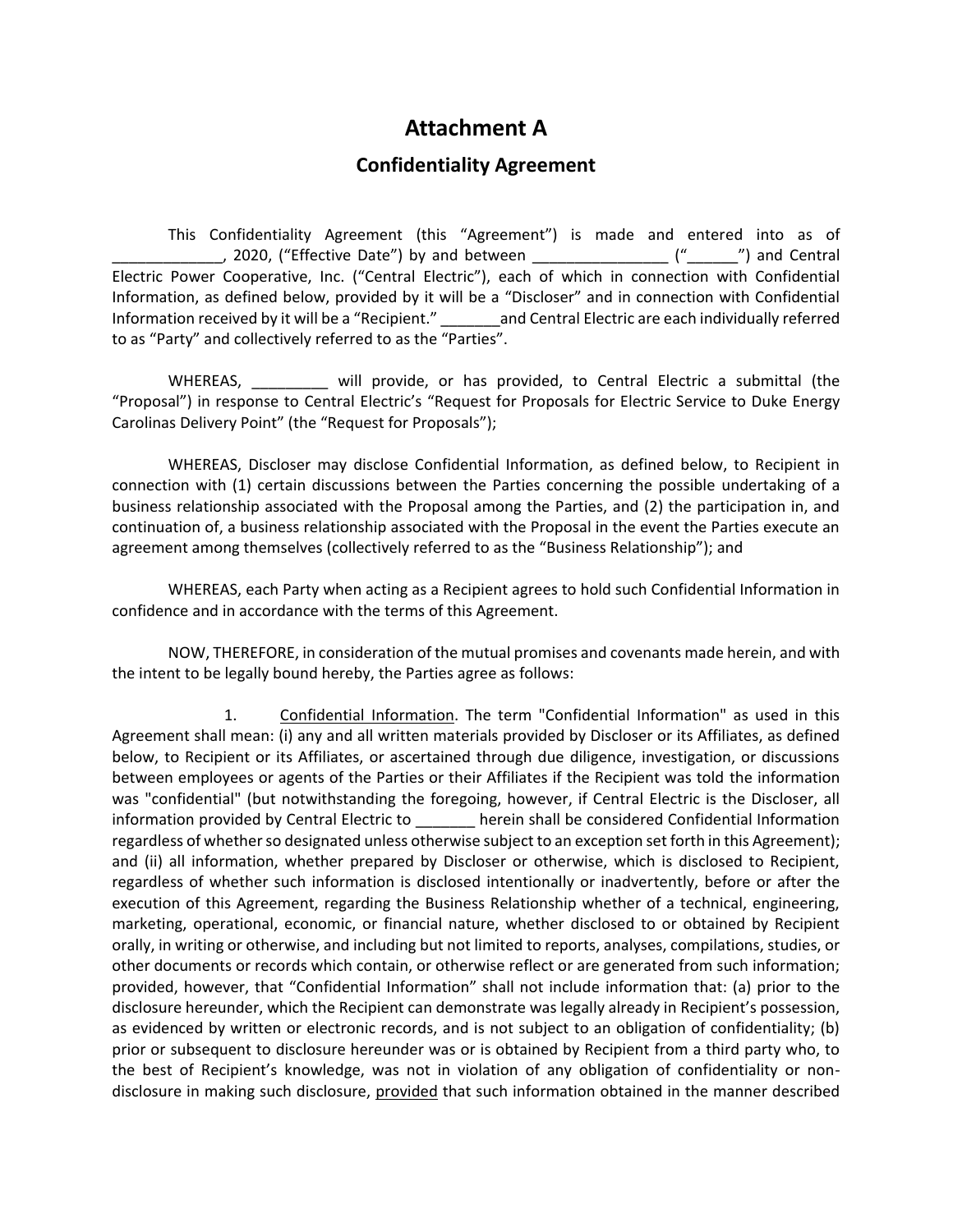## **Attachment A**

## **Confidentiality Agreement**

This Confidentiality Agreement (this "Agreement") is made and entered into as of \_\_\_\_\_\_\_\_\_\_\_\_\_, 2020, ("Effective Date") by and between \_\_\_\_\_\_\_\_\_\_\_\_\_\_\_\_ ("\_\_\_\_\_\_") and Central Electric Power Cooperative, Inc. ("Central Electric"), each of which in connection with Confidential Information, as defined below, provided by it will be a "Discloser" and in connection with Confidential Information received by it will be a "Recipient." \_\_\_\_\_\_\_and Central Electric are each individually referred to as "Party" and collectively referred to as the "Parties".

WHEREAS, will provide, or has provided, to Central Electric a submittal (the "Proposal") in response to Central Electric's "Request for Proposals for Electric Service to Duke Energy Carolinas Delivery Point" (the "Request for Proposals");

WHEREAS, Discloser may disclose Confidential Information, as defined below, to Recipient in connection with (1) certain discussions between the Parties concerning the possible undertaking of a business relationship associated with the Proposal among the Parties, and (2) the participation in, and continuation of, a business relationship associated with the Proposal in the event the Parties execute an agreement among themselves (collectively referred to as the "Business Relationship"); and

WHEREAS, each Party when acting as a Recipient agrees to hold such Confidential Information in confidence and in accordance with the terms of this Agreement.

NOW, THEREFORE, in consideration of the mutual promises and covenants made herein, and with the intent to be legally bound hereby, the Parties agree as follows:

1. Confidential Information. The term "Confidential Information" as used in this Agreement shall mean: (i) any and all written materials provided by Discloser or its Affiliates, as defined below, to Recipient or its Affiliates, or ascertained through due diligence, investigation, or discussions between employees or agents of the Parties or their Affiliates if the Recipient was told the information was "confidential" (but notwithstanding the foregoing, however, if Central Electric is the Discloser, all information provided by Central Electric to \_\_\_\_\_\_\_ herein shall be considered Confidential Information regardless of whether so designated unless otherwise subject to an exception set forth in this Agreement); and (ii) all information, whether prepared by Discloser or otherwise, which is disclosed to Recipient, regardless of whether such information is disclosed intentionally or inadvertently, before or after the execution of this Agreement, regarding the Business Relationship whether of a technical, engineering, marketing, operational, economic, or financial nature, whether disclosed to or obtained by Recipient orally, in writing or otherwise, and including but not limited to reports, analyses, compilations, studies, or other documents or records which contain, or otherwise reflect or are generated from such information; provided, however, that "Confidential Information" shall not include information that: (a) prior to the disclosure hereunder, which the Recipient can demonstrate was legally already in Recipient's possession, as evidenced by written or electronic records, and is not subject to an obligation of confidentiality; (b) prior or subsequent to disclosure hereunder was or is obtained by Recipient from a third party who, to the best of Recipient's knowledge, was not in violation of any obligation of confidentiality or nondisclosure in making such disclosure, provided that such information obtained in the manner described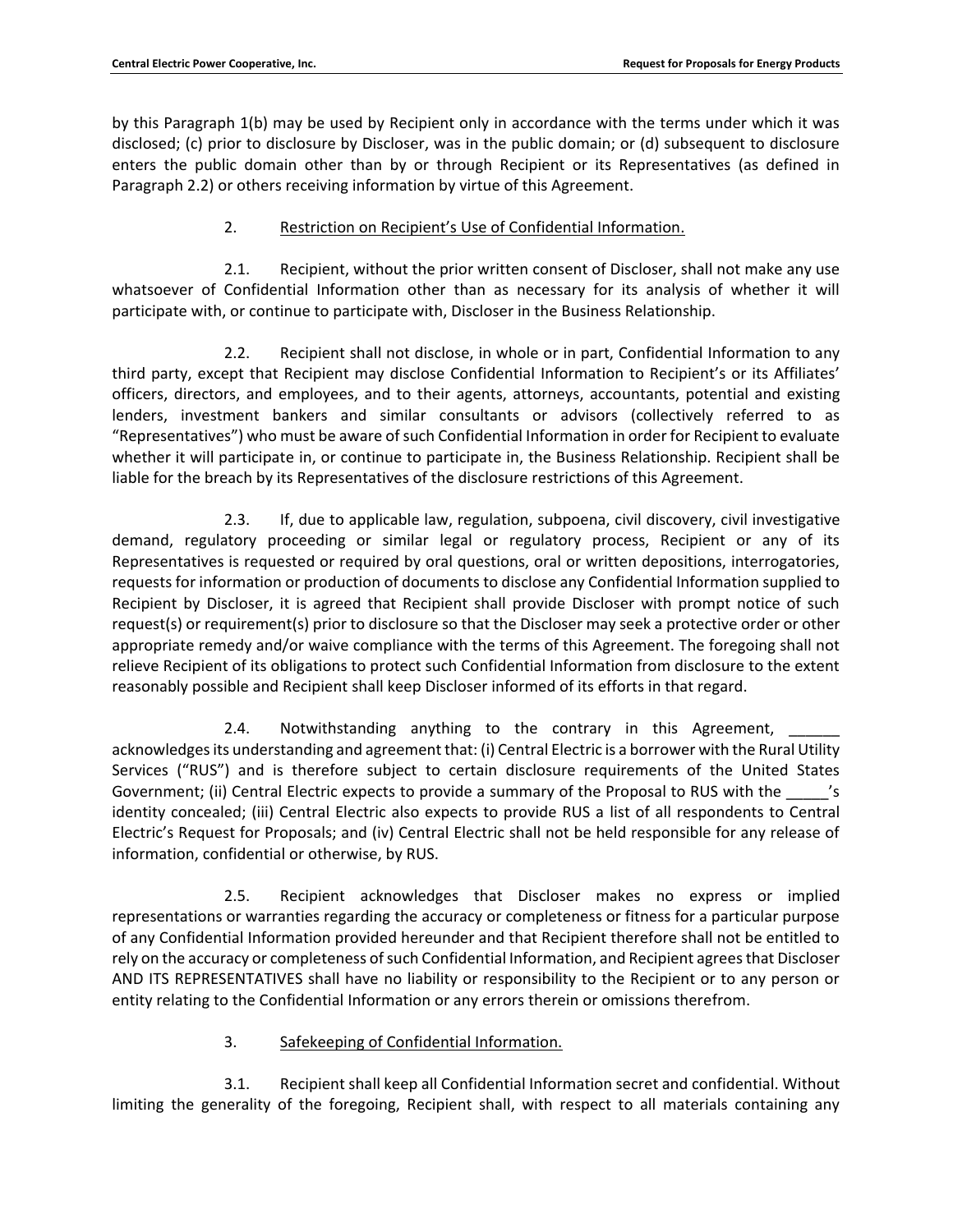by this Paragraph 1(b) may be used by Recipient only in accordance with the terms under which it was disclosed; (c) prior to disclosure by Discloser, was in the public domain; or (d) subsequent to disclosure enters the public domain other than by or through Recipient or its Representatives (as defined in Paragraph 2.2) or others receiving information by virtue of this Agreement.

## 2. Restriction on Recipient's Use of Confidential Information.

2.1. Recipient, without the prior written consent of Discloser, shall not make any use whatsoever of Confidential Information other than as necessary for its analysis of whether it will participate with, or continue to participate with, Discloser in the Business Relationship.

2.2. Recipient shall not disclose, in whole or in part, Confidential Information to any third party, except that Recipient may disclose Confidential Information to Recipient's or its Affiliates' officers, directors, and employees, and to their agents, attorneys, accountants, potential and existing lenders, investment bankers and similar consultants or advisors (collectively referred to as "Representatives") who must be aware of such Confidential Information in order for Recipient to evaluate whether it will participate in, or continue to participate in, the Business Relationship. Recipient shall be liable for the breach by its Representatives of the disclosure restrictions of this Agreement.

2.3. If, due to applicable law, regulation, subpoena, civil discovery, civil investigative demand, regulatory proceeding or similar legal or regulatory process, Recipient or any of its Representatives is requested or required by oral questions, oral or written depositions, interrogatories, requests for information or production of documents to disclose any Confidential Information supplied to Recipient by Discloser, it is agreed that Recipient shall provide Discloser with prompt notice of such request(s) or requirement(s) prior to disclosure so that the Discloser may seek a protective order or other appropriate remedy and/or waive compliance with the terms of this Agreement. The foregoing shall not relieve Recipient of its obligations to protect such Confidential Information from disclosure to the extent reasonably possible and Recipient shall keep Discloser informed of its efforts in that regard.

2.4. Notwithstanding anything to the contrary in this Agreement, acknowledges its understanding and agreement that: (i) Central Electric is a borrower with the Rural Utility Services ("RUS") and is therefore subject to certain disclosure requirements of the United States Government; (ii) Central Electric expects to provide a summary of the Proposal to RUS with the  $\frac{1}{s}$ identity concealed; (iii) Central Electric also expects to provide RUS a list of all respondents to Central Electric's Request for Proposals; and (iv) Central Electric shall not be held responsible for any release of information, confidential or otherwise, by RUS.

2.5. Recipient acknowledges that Discloser makes no express or implied representations or warranties regarding the accuracy or completeness or fitness for a particular purpose of any Confidential Information provided hereunder and that Recipient therefore shall not be entitled to rely on the accuracy or completeness of such Confidential Information, and Recipient agrees that Discloser AND ITS REPRESENTATIVES shall have no liability or responsibility to the Recipient or to any person or entity relating to the Confidential Information or any errors therein or omissions therefrom.

## 3. Safekeeping of Confidential Information.

3.1. Recipient shall keep all Confidential Information secret and confidential. Without limiting the generality of the foregoing, Recipient shall, with respect to all materials containing any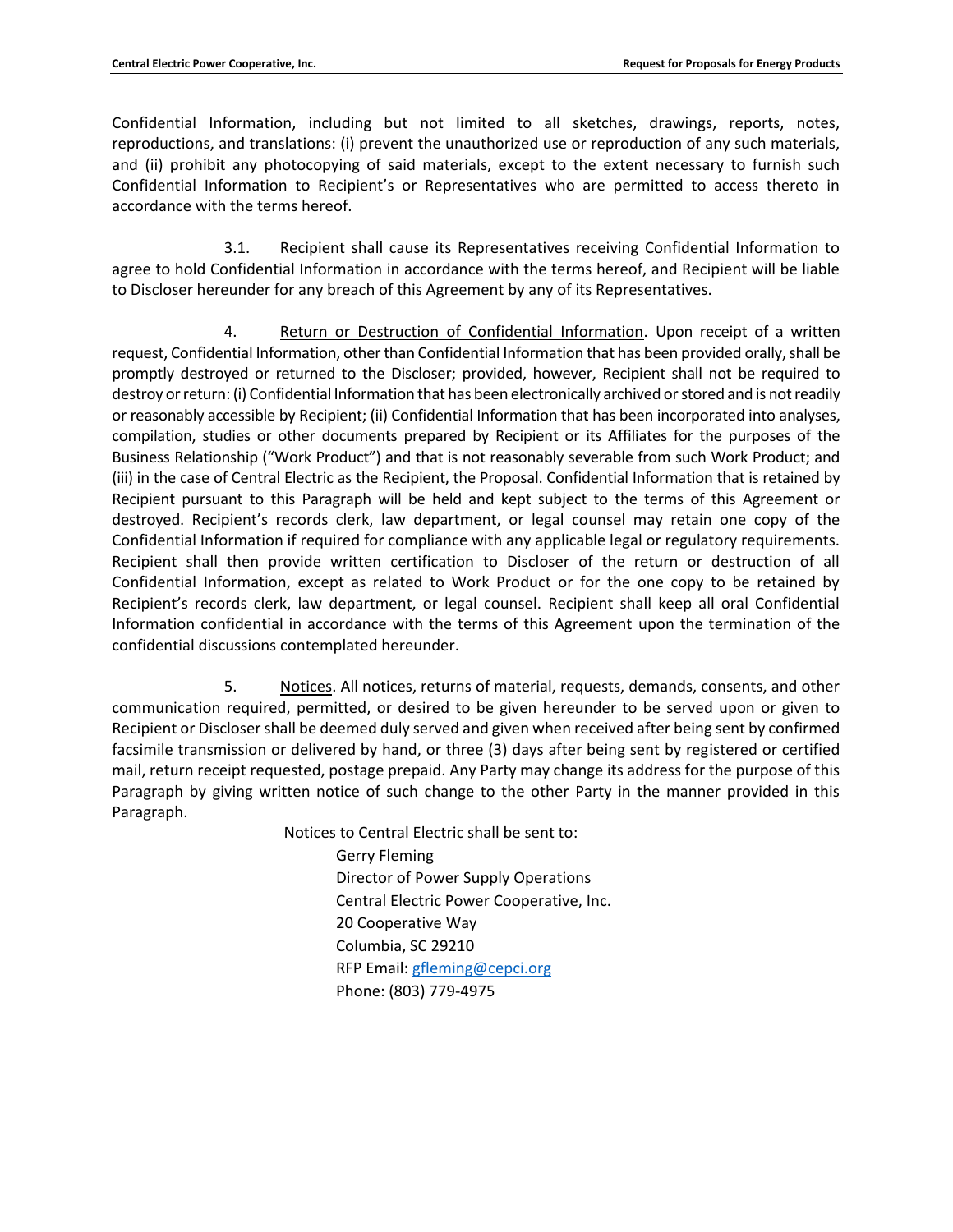Confidential Information, including but not limited to all sketches, drawings, reports, notes, reproductions, and translations: (i) prevent the unauthorized use or reproduction of any such materials, and (ii) prohibit any photocopying of said materials, except to the extent necessary to furnish such Confidential Information to Recipient's or Representatives who are permitted to access thereto in accordance with the terms hereof.

3.1. Recipient shall cause its Representatives receiving Confidential Information to agree to hold Confidential Information in accordance with the terms hereof, and Recipient will be liable to Discloser hereunder for any breach of this Agreement by any of its Representatives.

4. Return or Destruction of Confidential Information. Upon receipt of a written request, Confidential Information, other than Confidential Information that has been provided orally, shall be promptly destroyed or returned to the Discloser; provided, however, Recipient shall not be required to destroy or return: (i) Confidential Information that has been electronically archived or stored and is not readily or reasonably accessible by Recipient; (ii) Confidential Information that has been incorporated into analyses, compilation, studies or other documents prepared by Recipient or its Affiliates for the purposes of the Business Relationship ("Work Product") and that is not reasonably severable from such Work Product; and (iii) in the case of Central Electric as the Recipient, the Proposal. Confidential Information that is retained by Recipient pursuant to this Paragraph will be held and kept subject to the terms of this Agreement or destroyed. Recipient's records clerk, law department, or legal counsel may retain one copy of the Confidential Information if required for compliance with any applicable legal or regulatory requirements. Recipient shall then provide written certification to Discloser of the return or destruction of all Confidential Information, except as related to Work Product or for the one copy to be retained by Recipient's records clerk, law department, or legal counsel. Recipient shall keep all oral Confidential Information confidential in accordance with the terms of this Agreement upon the termination of the confidential discussions contemplated hereunder.

5. Notices. All notices, returns of material, requests, demands, consents, and other communication required, permitted, or desired to be given hereunder to be served upon or given to Recipient or Discloser shall be deemed duly served and given when received after being sent by confirmed facsimile transmission or delivered by hand, or three (3) days after being sent by registered or certified mail, return receipt requested, postage prepaid. Any Party may change its address for the purpose of this Paragraph by giving written notice of such change to the other Party in the manner provided in this Paragraph.

> Notices to Central Electric shall be sent to: Gerry Fleming Director of Power Supply Operations Central Electric Power Cooperative, Inc. 20 Cooperative Way Columbia, SC 29210 RFP Email: [gfleming@cepci.org](mailto:gfleming@cepci.org) Phone: (803) 779-4975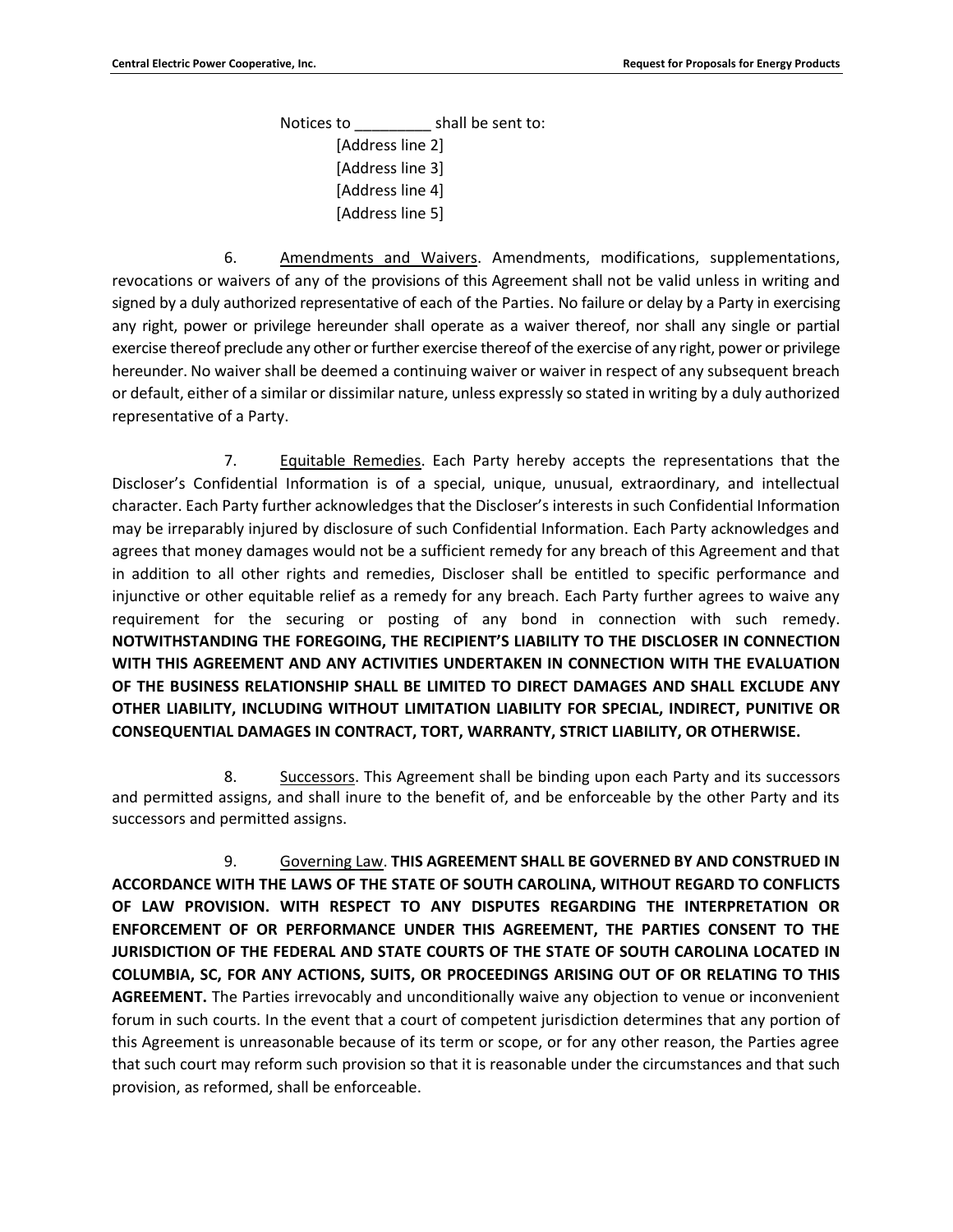Notices to \_\_\_\_\_\_\_\_\_ shall be sent to: [Address line 2] [Address line 3] [Address line 4] [Address line 5]

6. Amendments and Waivers. Amendments, modifications, supplementations, revocations or waivers of any of the provisions of this Agreement shall not be valid unless in writing and signed by a duly authorized representative of each of the Parties. No failure or delay by a Party in exercising any right, power or privilege hereunder shall operate as a waiver thereof, nor shall any single or partial exercise thereof preclude any other or further exercise thereof of the exercise of any right, power or privilege hereunder. No waiver shall be deemed a continuing waiver or waiver in respect of any subsequent breach or default, either of a similar or dissimilar nature, unless expressly so stated in writing by a duly authorized representative of a Party.

7. Equitable Remedies. Each Party hereby accepts the representations that the Discloser's Confidential Information is of a special, unique, unusual, extraordinary, and intellectual character. Each Party further acknowledges that the Discloser's interests in such Confidential Information may be irreparably injured by disclosure of such Confidential Information. Each Party acknowledges and agrees that money damages would not be a sufficient remedy for any breach of this Agreement and that in addition to all other rights and remedies, Discloser shall be entitled to specific performance and injunctive or other equitable relief as a remedy for any breach. Each Party further agrees to waive any requirement for the securing or posting of any bond in connection with such remedy. **NOTWITHSTANDING THE FOREGOING, THE RECIPIENT'S LIABILITY TO THE DISCLOSER IN CONNECTION WITH THIS AGREEMENT AND ANY ACTIVITIES UNDERTAKEN IN CONNECTION WITH THE EVALUATION OF THE BUSINESS RELATIONSHIP SHALL BE LIMITED TO DIRECT DAMAGES AND SHALL EXCLUDE ANY OTHER LIABILITY, INCLUDING WITHOUT LIMITATION LIABILITY FOR SPECIAL, INDIRECT, PUNITIVE OR CONSEQUENTIAL DAMAGES IN CONTRACT, TORT, WARRANTY, STRICT LIABILITY, OR OTHERWISE.**

8. Successors. This Agreement shall be binding upon each Party and its successors and permitted assigns, and shall inure to the benefit of, and be enforceable by the other Party and its successors and permitted assigns.

9. Governing Law. **THIS AGREEMENT SHALL BE GOVERNED BY AND CONSTRUED IN ACCORDANCE WITH THE LAWS OF THE STATE OF SOUTH CAROLINA, WITHOUT REGARD TO CONFLICTS OF LAW PROVISION. WITH RESPECT TO ANY DISPUTES REGARDING THE INTERPRETATION OR ENFORCEMENT OF OR PERFORMANCE UNDER THIS AGREEMENT, THE PARTIES CONSENT TO THE JURISDICTION OF THE FEDERAL AND STATE COURTS OF THE STATE OF SOUTH CAROLINA LOCATED IN COLUMBIA, SC, FOR ANY ACTIONS, SUITS, OR PROCEEDINGS ARISING OUT OF OR RELATING TO THIS AGREEMENT.** The Parties irrevocably and unconditionally waive any objection to venue or inconvenient forum in such courts. In the event that a court of competent jurisdiction determines that any portion of this Agreement is unreasonable because of its term or scope, or for any other reason, the Parties agree that such court may reform such provision so that it is reasonable under the circumstances and that such provision, as reformed, shall be enforceable.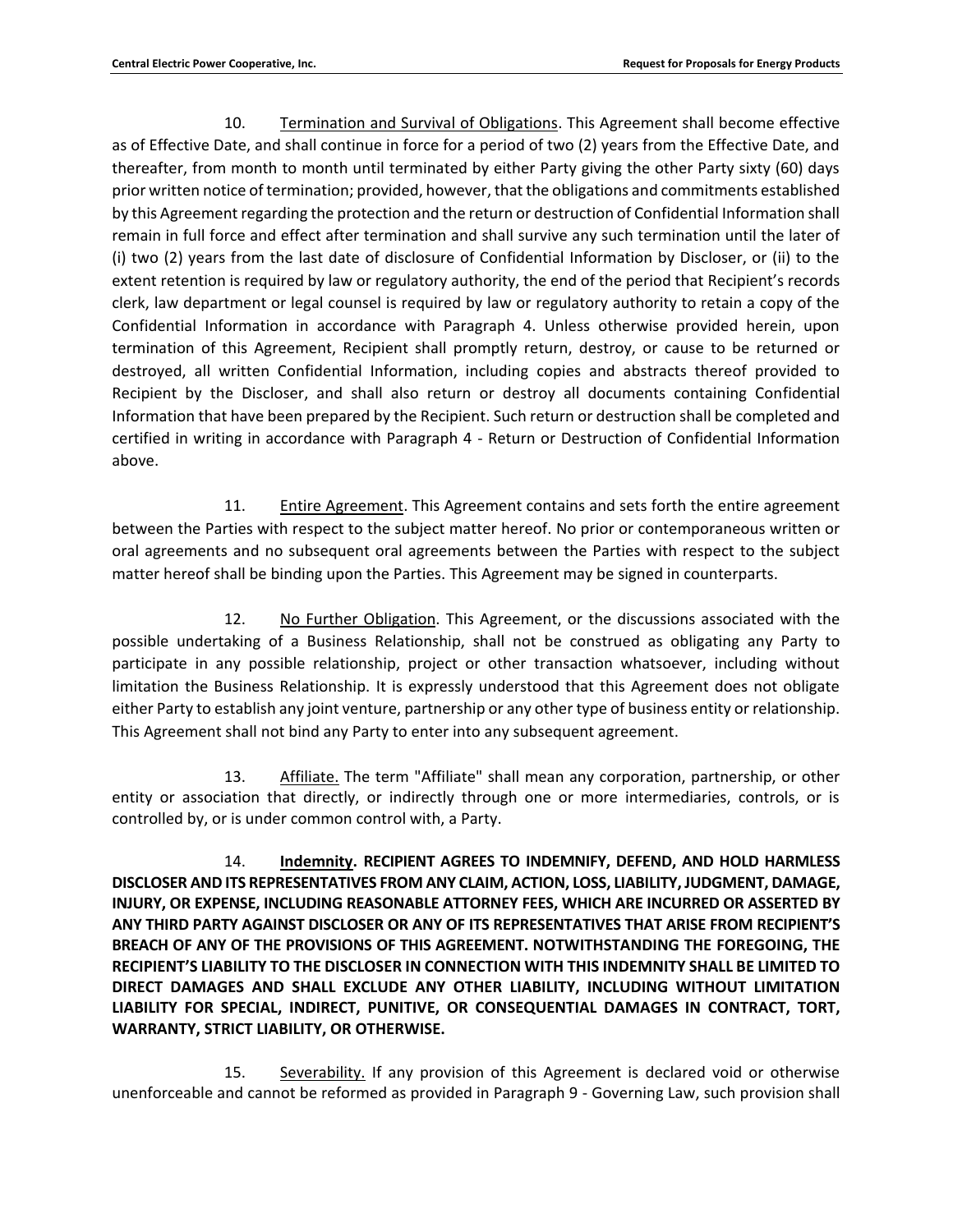10. Termination and Survival of Obligations. This Agreement shall become effective as of Effective Date, and shall continue in force for a period of two (2) years from the Effective Date, and thereafter, from month to month until terminated by either Party giving the other Party sixty (60) days prior written notice of termination; provided, however, that the obligations and commitments established by this Agreement regarding the protection and the return or destruction of Confidential Information shall remain in full force and effect after termination and shall survive any such termination until the later of (i) two (2) years from the last date of disclosure of Confidential Information by Discloser, or (ii) to the extent retention is required by law or regulatory authority, the end of the period that Recipient's records clerk, law department or legal counsel is required by law or regulatory authority to retain a copy of the Confidential Information in accordance with Paragraph 4. Unless otherwise provided herein, upon termination of this Agreement, Recipient shall promptly return, destroy, or cause to be returned or destroyed, all written Confidential Information, including copies and abstracts thereof provided to Recipient by the Discloser, and shall also return or destroy all documents containing Confidential Information that have been prepared by the Recipient. Such return or destruction shall be completed and certified in writing in accordance with Paragraph 4 - Return or Destruction of Confidential Information above.

11. Entire Agreement. This Agreement contains and sets forth the entire agreement between the Parties with respect to the subject matter hereof. No prior or contemporaneous written or oral agreements and no subsequent oral agreements between the Parties with respect to the subject matter hereof shall be binding upon the Parties. This Agreement may be signed in counterparts.

12. No Further Obligation. This Agreement, or the discussions associated with the possible undertaking of a Business Relationship, shall not be construed as obligating any Party to participate in any possible relationship, project or other transaction whatsoever, including without limitation the Business Relationship. It is expressly understood that this Agreement does not obligate either Party to establish any joint venture, partnership or any other type of business entity or relationship. This Agreement shall not bind any Party to enter into any subsequent agreement.

13. Affiliate. The term "Affiliate" shall mean any corporation, partnership, or other entity or association that directly, or indirectly through one or more intermediaries, controls, or is controlled by, or is under common control with, a Party.

14. **Indemnity. RECIPIENT AGREES TO INDEMNIFY, DEFEND, AND HOLD HARMLESS DISCLOSER AND ITS REPRESENTATIVES FROM ANY CLAIM, ACTION, LOSS, LIABILITY, JUDGMENT, DAMAGE, INJURY, OR EXPENSE, INCLUDING REASONABLE ATTORNEY FEES, WHICH ARE INCURRED OR ASSERTED BY ANY THIRD PARTY AGAINST DISCLOSER OR ANY OF ITS REPRESENTATIVES THAT ARISE FROM RECIPIENT'S BREACH OF ANY OF THE PROVISIONS OF THIS AGREEMENT. NOTWITHSTANDING THE FOREGOING, THE RECIPIENT'S LIABILITY TO THE DISCLOSER IN CONNECTION WITH THIS INDEMNITY SHALL BE LIMITED TO DIRECT DAMAGES AND SHALL EXCLUDE ANY OTHER LIABILITY, INCLUDING WITHOUT LIMITATION LIABILITY FOR SPECIAL, INDIRECT, PUNITIVE, OR CONSEQUENTIAL DAMAGES IN CONTRACT, TORT, WARRANTY, STRICT LIABILITY, OR OTHERWISE.** 

15. Severability. If any provision of this Agreement is declared void or otherwise unenforceable and cannot be reformed as provided in Paragraph 9 - Governing Law, such provision shall